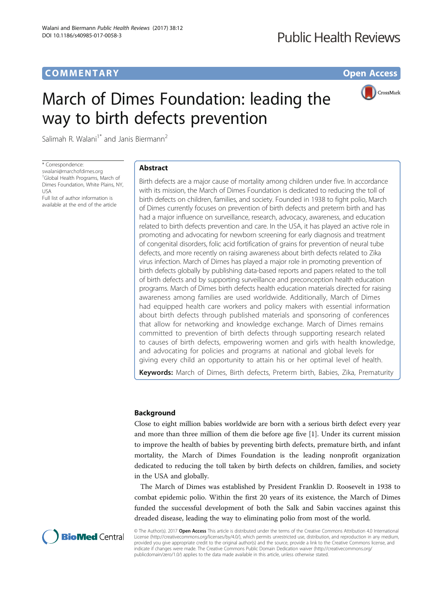# **COMMENTARY COMMENTARY Open Access**

CrossMark

# March of Dimes Foundation: leading the way to birth defects prevention



\* Correspondence:

[swalani@marchofdimes.org](mailto:swalani@marchofdimes.org) 1 Global Health Programs, March of Dimes Foundation, White Plains, NY, USA Full list of author information is

available at the end of the article

## Abstract

Birth defects are a major cause of mortality among children under five. In accordance with its mission, the March of Dimes Foundation is dedicated to reducing the toll of birth defects on children, families, and society. Founded in 1938 to fight polio, March of Dimes currently focuses on prevention of birth defects and preterm birth and has had a major influence on surveillance, research, advocacy, awareness, and education related to birth defects prevention and care. In the USA, it has played an active role in promoting and advocating for newborn screening for early diagnosis and treatment of congenital disorders, folic acid fortification of grains for prevention of neural tube defects, and more recently on raising awareness about birth defects related to Zika virus infection. March of Dimes has played a major role in promoting prevention of birth defects globally by publishing data-based reports and papers related to the toll of birth defects and by supporting surveillance and preconception health education programs. March of Dimes birth defects health education materials directed for raising awareness among families are used worldwide. Additionally, March of Dimes had equipped health care workers and policy makers with essential information about birth defects through published materials and sponsoring of conferences that allow for networking and knowledge exchange. March of Dimes remains committed to prevention of birth defects through supporting research related to causes of birth defects, empowering women and girls with health knowledge, and advocating for policies and programs at national and global levels for giving every child an opportunity to attain his or her optimal level of health.

Keywords: March of Dimes, Birth defects, Preterm birth, Babies, Zika, Prematurity

# Background

Close to eight million babies worldwide are born with a serious birth defect every year and more than three million of them die before age five [[1](#page-5-0)]. Under its current mission to improve the health of babies by preventing birth defects, premature birth, and infant mortality, the March of Dimes Foundation is the leading nonprofit organization dedicated to reducing the toll taken by birth defects on children, families, and society in the USA and globally.

The March of Dimes was established by President Franklin D. Roosevelt in 1938 to combat epidemic polio. Within the first 20 years of its existence, the March of Dimes funded the successful development of both the Salk and Sabin vaccines against this dreaded disease, leading the way to eliminating polio from most of the world.



© The Author(s). 2017 Open Access This article is distributed under the terms of the Creative Commons Attribution 4.0 International License ([http://creativecommons.org/licenses/by/4.0/\)](http://creativecommons.org/licenses/by/4.0/), which permits unrestricted use, distribution, and reproduction in any medium, provided you give appropriate credit to the original author(s) and the source, provide a link to the Creative Commons license, and indicate if changes were made. The Creative Commons Public Domain Dedication waiver ([http://creativecommons.org/](http://creativecommons.org/publicdomain/zero/1.0/) [publicdomain/zero/1.0/\)](http://creativecommons.org/publicdomain/zero/1.0/) applies to the data made available in this article, unless otherwise stated.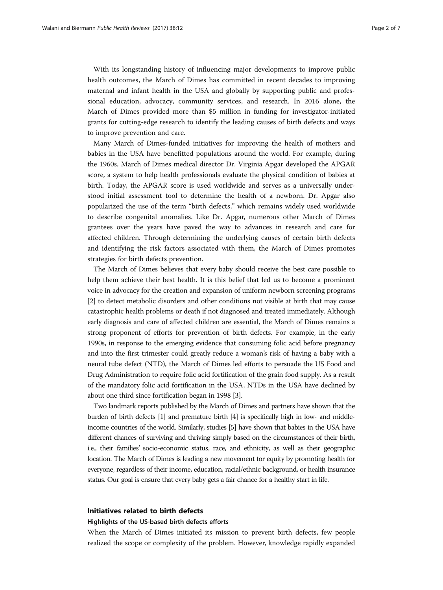With its longstanding history of influencing major developments to improve public health outcomes, the March of Dimes has committed in recent decades to improving maternal and infant health in the USA and globally by supporting public and professional education, advocacy, community services, and research. In 2016 alone, the March of Dimes provided more than \$5 million in funding for investigator-initiated grants for cutting-edge research to identify the leading causes of birth defects and ways to improve prevention and care.

Many March of Dimes-funded initiatives for improving the health of mothers and babies in the USA have benefitted populations around the world. For example, during the 1960s, March of Dimes medical director Dr. Virginia Apgar developed the APGAR score, a system to help health professionals evaluate the physical condition of babies at birth. Today, the APGAR score is used worldwide and serves as a universally understood initial assessment tool to determine the health of a newborn. Dr. Apgar also popularized the use of the term "birth defects," which remains widely used worldwide to describe congenital anomalies. Like Dr. Apgar, numerous other March of Dimes grantees over the years have paved the way to advances in research and care for affected children. Through determining the underlying causes of certain birth defects and identifying the risk factors associated with them, the March of Dimes promotes strategies for birth defects prevention.

The March of Dimes believes that every baby should receive the best care possible to help them achieve their best health. It is this belief that led us to become a prominent voice in advocacy for the creation and expansion of uniform newborn screening programs [[2\]](#page-6-0) to detect metabolic disorders and other conditions not visible at birth that may cause catastrophic health problems or death if not diagnosed and treated immediately. Although early diagnosis and care of affected children are essential, the March of Dimes remains a strong proponent of efforts for prevention of birth defects. For example, in the early 1990s, in response to the emerging evidence that consuming folic acid before pregnancy and into the first trimester could greatly reduce a woman's risk of having a baby with a neural tube defect (NTD), the March of Dimes led efforts to persuade the US Food and Drug Administration to require folic acid fortification of the grain food supply. As a result of the mandatory folic acid fortification in the USA, NTDs in the USA have declined by about one third since fortification began in 1998 [\[3](#page-6-0)].

Two landmark reports published by the March of Dimes and partners have shown that the burden of birth defects [\[1\]](#page-5-0) and premature birth [[4](#page-6-0)] is specifically high in low- and middleincome countries of the world. Similarly, studies [\[5\]](#page-6-0) have shown that babies in the USA have different chances of surviving and thriving simply based on the circumstances of their birth, i.e., their families' socio-economic status, race, and ethnicity, as well as their geographic location. The March of Dimes is leading a new movement for equity by promoting health for everyone, regardless of their income, education, racial/ethnic background, or health insurance status. Our goal is ensure that every baby gets a fair chance for a healthy start in life.

## Initiatives related to birth defects

## Highlights of the US-based birth defects efforts

When the March of Dimes initiated its mission to prevent birth defects, few people realized the scope or complexity of the problem. However, knowledge rapidly expanded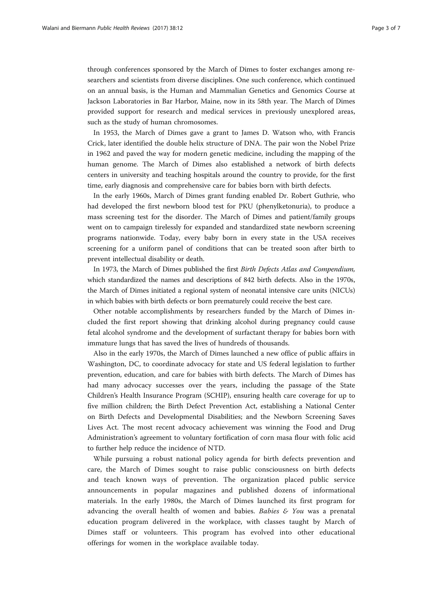through conferences sponsored by the March of Dimes to foster exchanges among researchers and scientists from diverse disciplines. One such conference, which continued on an annual basis, is the Human and Mammalian Genetics and Genomics Course at Jackson Laboratories in Bar Harbor, Maine, now in its 58th year. The March of Dimes provided support for research and medical services in previously unexplored areas, such as the study of human chromosomes.

In 1953, the March of Dimes gave a grant to James D. Watson who, with Francis Crick, later identified the double helix structure of DNA. The pair won the Nobel Prize in 1962 and paved the way for modern genetic medicine, including the mapping of the human genome. The March of Dimes also established a network of birth defects centers in university and teaching hospitals around the country to provide, for the first time, early diagnosis and comprehensive care for babies born with birth defects.

In the early 1960s, March of Dimes grant funding enabled Dr. Robert Guthrie, who had developed the first newborn blood test for PKU (phenylketonuria), to produce a mass screening test for the disorder. The March of Dimes and patient/family groups went on to campaign tirelessly for expanded and standardized state newborn screening programs nationwide. Today, every baby born in every state in the USA receives screening for a uniform panel of conditions that can be treated soon after birth to prevent intellectual disability or death.

In 1973, the March of Dimes published the first Birth Defects Atlas and Compendium, which standardized the names and descriptions of 842 birth defects. Also in the 1970s, the March of Dimes initiated a regional system of neonatal intensive care units (NICUs) in which babies with birth defects or born prematurely could receive the best care.

Other notable accomplishments by researchers funded by the March of Dimes included the first report showing that drinking alcohol during pregnancy could cause fetal alcohol syndrome and the development of surfactant therapy for babies born with immature lungs that has saved the lives of hundreds of thousands.

Also in the early 1970s, the March of Dimes launched a new office of public affairs in Washington, DC, to coordinate advocacy for state and US federal legislation to further prevention, education, and care for babies with birth defects. The March of Dimes has had many advocacy successes over the years, including the passage of the State Children's Health Insurance Program (SCHIP), ensuring health care coverage for up to five million children; the Birth Defect Prevention Act, establishing a National Center on Birth Defects and Developmental Disabilities; and the Newborn Screening Saves Lives Act. The most recent advocacy achievement was winning the Food and Drug Administration's agreement to voluntary fortification of corn masa flour with folic acid to further help reduce the incidence of NTD.

While pursuing a robust national policy agenda for birth defects prevention and care, the March of Dimes sought to raise public consciousness on birth defects and teach known ways of prevention. The organization placed public service announcements in popular magazines and published dozens of informational materials. In the early 1980s, the March of Dimes launched its first program for advancing the overall health of women and babies. Babies  $\mathcal E$  You was a prenatal education program delivered in the workplace, with classes taught by March of Dimes staff or volunteers. This program has evolved into other educational offerings for women in the workplace available today.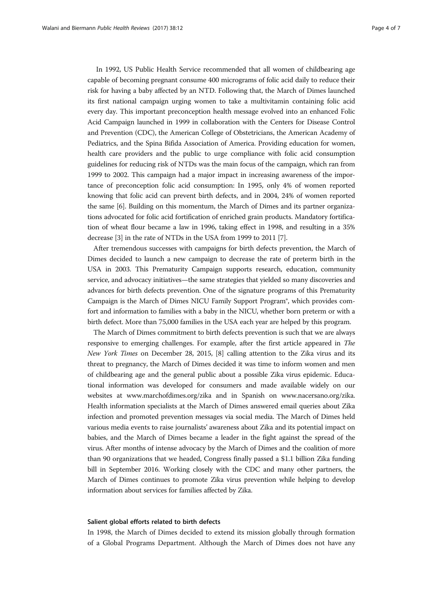In 1992, US Public Health Service recommended that all women of childbearing age capable of becoming pregnant consume 400 micrograms of folic acid daily to reduce their risk for having a baby affected by an NTD. Following that, the March of Dimes launched its first national campaign urging women to take a multivitamin containing folic acid every day. This important preconception health message evolved into an enhanced Folic Acid Campaign launched in 1999 in collaboration with the Centers for Disease Control and Prevention (CDC), the American College of Obstetricians, the American Academy of Pediatrics, and the Spina Bifida Association of America. Providing education for women, health care providers and the public to urge compliance with folic acid consumption guidelines for reducing risk of NTDs was the main focus of the campaign, which ran from 1999 to 2002. This campaign had a major impact in increasing awareness of the importance of preconception folic acid consumption: In 1995, only 4% of women reported knowing that folic acid can prevent birth defects, and in 2004, 24% of women reported the same [[6\]](#page-6-0). Building on this momentum, the March of Dimes and its partner organizations advocated for folic acid fortification of enriched grain products. Mandatory fortification of wheat flour became a law in 1996, taking effect in 1998, and resulting in a 35% decrease [\[3](#page-6-0)] in the rate of NTDs in the USA from 1999 to 2011 [[7](#page-6-0)].

After tremendous successes with campaigns for birth defects prevention, the March of Dimes decided to launch a new campaign to decrease the rate of preterm birth in the USA in 2003. This Prematurity Campaign supports research, education, community service, and advocacy initiatives—the same strategies that yielded so many discoveries and advances for birth defects prevention. One of the signature programs of this Prematurity Campaign is the March of Dimes NICU Family Support Program®, which provides comfort and information to families with a baby in the NICU, whether born preterm or with a birth defect. More than 75,000 families in the USA each year are helped by this program.

The March of Dimes commitment to birth defects prevention is such that we are always responsive to emerging challenges. For example, after the first article appeared in The New York Times on December 28, 2015, [\[8](#page-6-0)] calling attention to the Zika virus and its threat to pregnancy, the March of Dimes decided it was time to inform women and men of childbearing age and the general public about a possible Zika virus epidemic. Educational information was developed for consumers and made available widely on our websites at [www.marchofdimes.org/zika](http://www.marchofdimes.org/zika) and in Spanish on [www.nacersano.org/zika](http://www.nacersano.org/zika). Health information specialists at the March of Dimes answered email queries about Zika infection and promoted prevention messages via social media. The March of Dimes held various media events to raise journalists' awareness about Zika and its potential impact on babies, and the March of Dimes became a leader in the fight against the spread of the virus. After months of intense advocacy by the March of Dimes and the coalition of more than 90 organizations that we headed, Congress finally passed a \$1.1 billion Zika funding bill in September 2016. Working closely with the CDC and many other partners, the March of Dimes continues to promote Zika virus prevention while helping to develop information about services for families affected by Zika.

### Salient global efforts related to birth defects

In 1998, the March of Dimes decided to extend its mission globally through formation of a Global Programs Department. Although the March of Dimes does not have any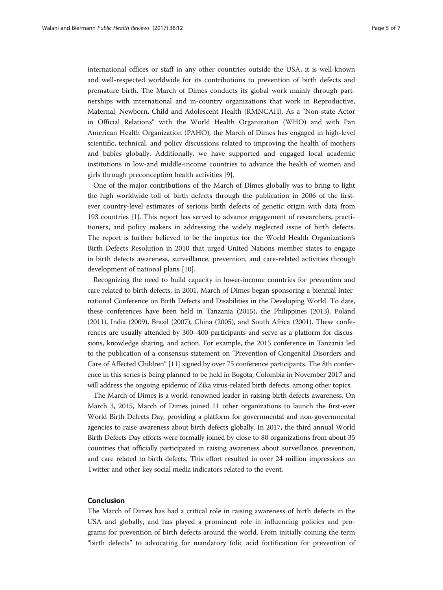international offices or staff in any other countries outside the USA, it is well-known and well-respected worldwide for its contributions to prevention of birth defects and premature birth. The March of Dimes conducts its global work mainly through partnerships with international and in-country organizations that work in Reproductive, Maternal, Newborn, Child and Adolescent Health (RMNCAH). As a "Non-state Actor in Official Relations" with the World Health Organization (WHO) and with Pan American Health Organization (PAHO), the March of Dimes has engaged in high-level scientific, technical, and policy discussions related to improving the health of mothers and babies globally. Additionally, we have supported and engaged local academic institutions in low-and middle-income countries to advance the health of women and girls through preconception health activities [[9\]](#page-6-0).

One of the major contributions of the March of Dimes globally was to bring to light the high worldwide toll of birth defects through the publication in 2006 of the firstever country-level estimates of serious birth defects of genetic origin with data from 193 countries [[1](#page-5-0)]. This report has served to advance engagement of researchers, practitioners, and policy makers in addressing the widely neglected issue of birth defects. The report is further believed to be the impetus for the World Health Organization's Birth Defects Resolution in 2010 that urged United Nations member states to engage in birth defects awareness, surveillance, prevention, and care-related activities through development of national plans [[10](#page-6-0)].

Recognizing the need to build capacity in lower-income countries for prevention and care related to birth defects, in 2001, March of Dimes began sponsoring a biennial International Conference on Birth Defects and Disabilities in the Developing World. To date, these conferences have been held in Tanzania (2015), the Philippines (2013), Poland (2011), India (2009), Brazil (2007), China (2005), and South Africa (2001). These conferences are usually attended by 300–400 participants and serve as a platform for discussions, knowledge sharing, and action. For example, the 2015 conference in Tanzania led to the publication of a consensus statement on "Prevention of Congenital Disorders and Care of Affected Children" [[11](#page-6-0)] signed by over 75 conference participants. The 8th conference in this series is being planned to be held in Bogota, Colombia in November 2017 and will address the ongoing epidemic of Zika virus-related birth defects, among other topics.

The March of Dimes is a world-renowned leader in raising birth defects awareness. On March 3, 2015, March of Dimes joined 11 other organizations to launch the first-ever World Birth Defects Day, providing a platform for governmental and non-governmental agencies to raise awareness about birth defects globally. In 2017, the third annual World Birth Defects Day efforts were formally joined by close to 80 organizations from about 35 countries that officially participated in raising awareness about surveillance, prevention, and care related to birth defects. This effort resulted in over 24 million impressions on Twitter and other key social media indicators related to the event.

## Conclusion

The March of Dimes has had a critical role in raising awareness of birth defects in the USA and globally, and has played a prominent role in influencing policies and programs for prevention of birth defects around the world. From initially coining the term "birth defects" to advocating for mandatory folic acid fortification for prevention of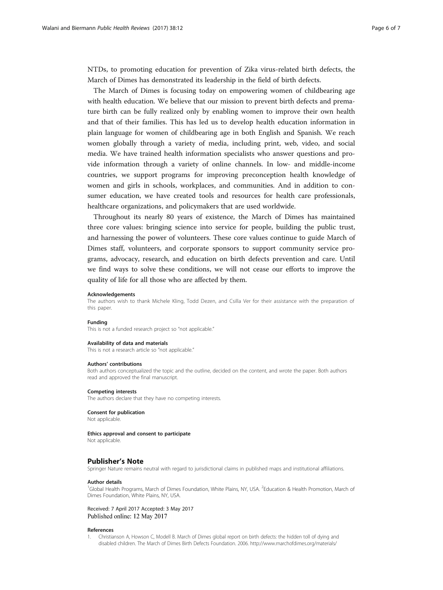<span id="page-5-0"></span>NTDs, to promoting education for prevention of Zika virus-related birth defects, the March of Dimes has demonstrated its leadership in the field of birth defects.

The March of Dimes is focusing today on empowering women of childbearing age with health education. We believe that our mission to prevent birth defects and premature birth can be fully realized only by enabling women to improve their own health and that of their families. This has led us to develop health education information in plain language for women of childbearing age in both English and Spanish. We reach women globally through a variety of media, including print, web, video, and social media. We have trained health information specialists who answer questions and provide information through a variety of online channels. In low- and middle-income countries, we support programs for improving preconception health knowledge of women and girls in schools, workplaces, and communities. And in addition to consumer education, we have created tools and resources for health care professionals, healthcare organizations, and policymakers that are used worldwide.

Throughout its nearly 80 years of existence, the March of Dimes has maintained three core values: bringing science into service for people, building the public trust, and harnessing the power of volunteers. These core values continue to guide March of Dimes staff, volunteers, and corporate sponsors to support community service programs, advocacy, research, and education on birth defects prevention and care. Until we find ways to solve these conditions, we will not cease our efforts to improve the quality of life for all those who are affected by them.

#### Acknowledgements

The authors wish to thank Michele Kling, Todd Dezen, and Csilla Ver for their assistance with the preparation of this paper.

#### Funding

This is not a funded research project so "not applicable."

#### Availability of data and materials

This is not a research article so "not applicable."

#### Authors' contributions

Both authors conceptualized the topic and the outline, decided on the content, and wrote the paper. Both authors read and approved the final manuscript.

#### Competing interests

The authors declare that they have no competing interests.

#### Consent for publication

Not applicable.

#### Ethics approval and consent to participate Not applicable.

#### Publisher's Note

Springer Nature remains neutral with regard to jurisdictional claims in published maps and institutional affiliations.

#### Author details

<sup>1</sup>Global Health Programs, March of Dimes Foundation, White Plains, NY, USA. <sup>2</sup>Education & Health Promotion, March of Dimes Foundation, White Plains, NY, USA.

Received: 7 April 2017 Accepted: 3 May 2017 Published online: 12 May 2017

#### References

1. Christianson A, Howson C, Modell B. March of Dimes global report on birth defects: the hidden toll of dying and disabled children. The March of Dimes Birth Defects Foundation. 2006. [http://www.marchofdimes.org/materials/](http://www.marchofdimes.org/materials/global-report-on-birth-defects-the-hidden-toll-of-dying-and-disabled-children-executive-summary.pdf)